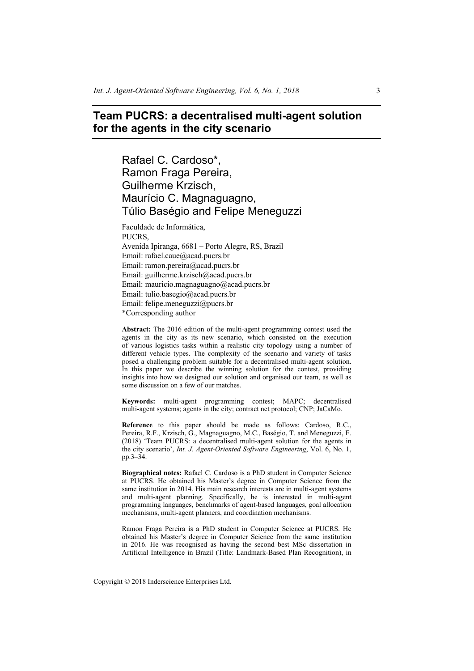# **Team PUCRS: a decentralised multi-agent solution for the agents in the city scenario**

Rafael C. Cardoso\*, Ramon Fraga Pereira, Guilherme Krzisch, Maurício C. Magnaguagno, Túlio Baségio and Felipe Meneguzzi

Faculdade de Informática, PUCRS, Avenida Ipiranga, 6681 – Porto Alegre, RS, Brazil Email: rafael.caue@acad.pucrs.br Email: ramon.pereira@acad.pucrs.br Email: guilherme.krzisch@acad.pucrs.br Email: mauricio.magnaguagno@acad.pucrs.br Email: tulio.basegio@acad.pucrs.br Email: felipe.meneguzzi@pucrs.br \*Corresponding author

**Abstract:** The 2016 edition of the multi-agent programming contest used the agents in the city as its new scenario, which consisted on the execution of various logistics tasks within a realistic city topology using a number of different vehicle types. The complexity of the scenario and variety of tasks posed a challenging problem suitable for a decentralised multi-agent solution. In this paper we describe the winning solution for the contest, providing insights into how we designed our solution and organised our team, as well as some discussion on a few of our matches.

**Keywords:** multi-agent programming contest; MAPC; decentralised multi-agent systems; agents in the city; contract net protocol; CNP; JaCaMo.

**Reference** to this paper should be made as follows: Cardoso, R.C., Pereira, R.F., Krzisch, G., Magnaguagno, M.C., Baségio, T. and Meneguzzi, F. (2018) 'Team PUCRS: a decentralised multi-agent solution for the agents in the city scenario', *Int. J. Agent-Oriented Software Engineering*, Vol. 6, No. 1, pp.3–34.

**Biographical notes:** Rafael C. Cardoso is a PhD student in Computer Science at PUCRS. He obtained his Master's degree in Computer Science from the same institution in 2014. His main research interests are in multi-agent systems and multi-agent planning. Specifically, he is interested in multi-agent programming languages, benchmarks of agent-based languages, goal allocation mechanisms, multi-agent planners, and coordination mechanisms.

Ramon Fraga Pereira is a PhD student in Computer Science at PUCRS. He obtained his Master's degree in Computer Science from the same institution in 2016. He was recognised as having the second best MSc dissertation in Artificial Intelligence in Brazil (Title: Landmark-Based Plan Recognition), in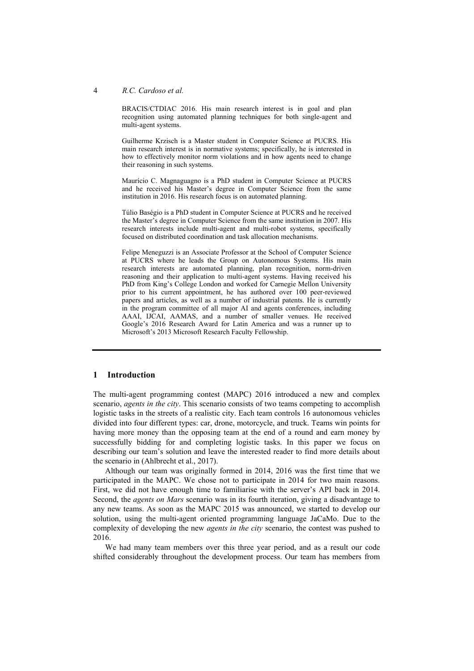BRACIS/CTDIAC 2016. His main research interest is in goal and plan recognition using automated planning techniques for both single-agent and multi-agent systems.

Guilherme Krzisch is a Master student in Computer Science at PUCRS. His main research interest is in normative systems; specifically, he is interested in how to effectively monitor norm violations and in how agents need to change their reasoning in such systems.

Maurício C. Magnaguagno is a PhD student in Computer Science at PUCRS and he received his Master's degree in Computer Science from the same institution in 2016. His research focus is on automated planning.

Túlio Baségio is a PhD student in Computer Science at PUCRS and he received the Master's degree in Computer Science from the same institution in 2007. His research interests include multi-agent and multi-robot systems, specifically focused on distributed coordination and task allocation mechanisms.

Felipe Meneguzzi is an Associate Professor at the School of Computer Science at PUCRS where he leads the Group on Autonomous Systems. His main research interests are automated planning, plan recognition, norm-driven reasoning and their application to multi-agent systems. Having received his PhD from King's College London and worked for Carnegie Mellon University prior to his current appointment, he has authored over 100 peer-reviewed papers and articles, as well as a number of industrial patents. He is currently in the program committee of all major AI and agents conferences, including AAAI, IJCAI, AAMAS, and a number of smaller venues. He received Google's 2016 Research Award for Latin America and was a runner up to Microsoft's 2013 Microsoft Research Faculty Fellowship.

#### **1 Introduction**

The multi-agent programming contest (MAPC) 2016 introduced a new and complex scenario, *agents in the city*. This scenario consists of two teams competing to accomplish logistic tasks in the streets of a realistic city. Each team controls 16 autonomous vehicles divided into four different types: car, drone, motorcycle, and truck. Teams win points for having more money than the opposing team at the end of a round and earn money by successfully bidding for and completing logistic tasks. In this paper we focus on describing our team's solution and leave the interested reader to find more details about the scenario in (Ahlbrecht et al., 2017).

Although our team was originally formed in 2014, 2016 was the first time that we participated in the MAPC. We chose not to participate in 2014 for two main reasons. First, we did not have enough time to familiarise with the server's API back in 2014. Second, the *agents on Mars* scenario was in its fourth iteration, giving a disadvantage to any new teams. As soon as the MAPC 2015 was announced, we started to develop our solution, using the multi-agent oriented programming language JaCaMo. Due to the complexity of developing the new *agents in the city* scenario, the contest was pushed to 2016.

We had many team members over this three year period, and as a result our code shifted considerably throughout the development process. Our team has members from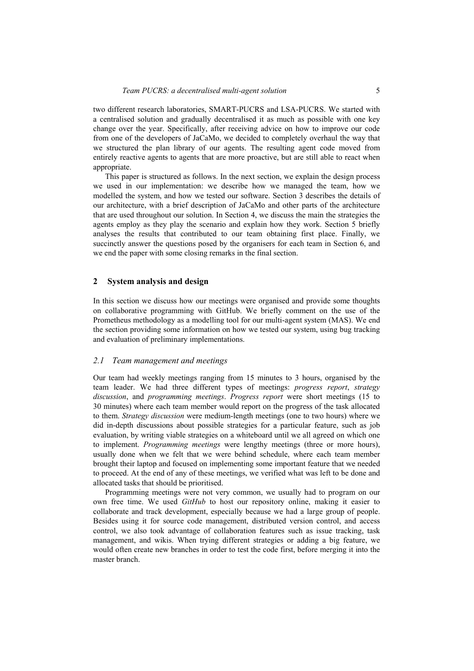two different research laboratories, SMART-PUCRS and LSA-PUCRS. We started with a centralised solution and gradually decentralised it as much as possible with one key change over the year. Specifically, after receiving advice on how to improve our code from one of the developers of JaCaMo, we decided to completely overhaul the way that we structured the plan library of our agents. The resulting agent code moved from entirely reactive agents to agents that are more proactive, but are still able to react when appropriate.

This paper is structured as follows. In the next section, we explain the design process we used in our implementation: we describe how we managed the team, how we modelled the system, and how we tested our software. Section 3 describes the details of our architecture, with a brief description of JaCaMo and other parts of the architecture that are used throughout our solution. In Section 4, we discuss the main the strategies the agents employ as they play the scenario and explain how they work. Section 5 briefly analyses the results that contributed to our team obtaining first place. Finally, we succinctly answer the questions posed by the organisers for each team in Section 6, and we end the paper with some closing remarks in the final section.

#### **2 System analysis and design**

In this section we discuss how our meetings were organised and provide some thoughts on collaborative programming with GitHub. We briefly comment on the use of the Prometheus methodology as a modelling tool for our multi-agent system (MAS). We end the section providing some information on how we tested our system, using bug tracking and evaluation of preliminary implementations.

#### *2.1 Team management and meetings*

Our team had weekly meetings ranging from 15 minutes to 3 hours, organised by the team leader. We had three different types of meetings: *progress report*, *strategy discussion*, and *programming meetings*. *Progress report* were short meetings (15 to 30 minutes) where each team member would report on the progress of the task allocated to them. *Strategy discussion* were medium-length meetings (one to two hours) where we did in-depth discussions about possible strategies for a particular feature, such as job evaluation, by writing viable strategies on a whiteboard until we all agreed on which one to implement. *Programming meetings* were lengthy meetings (three or more hours), usually done when we felt that we were behind schedule, where each team member brought their laptop and focused on implementing some important feature that we needed to proceed. At the end of any of these meetings, we verified what was left to be done and allocated tasks that should be prioritised.

Programming meetings were not very common, we usually had to program on our own free time. We used *GitHub* to host our repository online, making it easier to collaborate and track development, especially because we had a large group of people. Besides using it for source code management, distributed version control, and access control, we also took advantage of collaboration features such as issue tracking, task management, and wikis. When trying different strategies or adding a big feature, we would often create new branches in order to test the code first, before merging it into the master branch.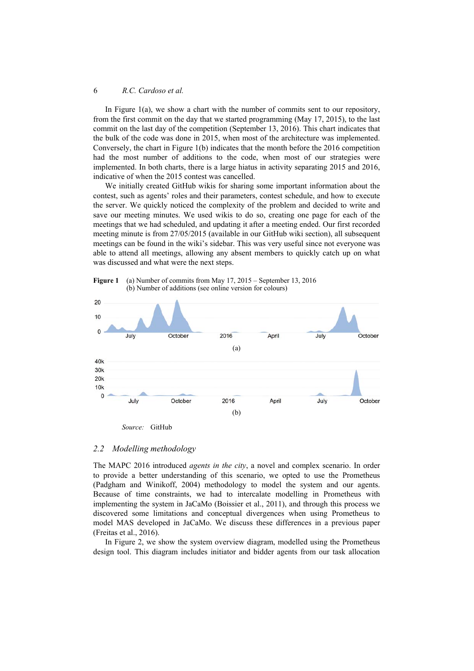In Figure 1(a), we show a chart with the number of commits sent to our repository, from the first commit on the day that we started programming (May 17, 2015), to the last commit on the last day of the competition (September 13, 2016). This chart indicates that the bulk of the code was done in 2015, when most of the architecture was implemented. Conversely, the chart in Figure 1(b) indicates that the month before the 2016 competition had the most number of additions to the code, when most of our strategies were implemented. In both charts, there is a large hiatus in activity separating 2015 and 2016, indicative of when the 2015 contest was cancelled.

We initially created GitHub wikis for sharing some important information about the contest, such as agents' roles and their parameters, contest schedule, and how to execute the server. We quickly noticed the complexity of the problem and decided to write and save our meeting minutes. We used wikis to do so, creating one page for each of the meetings that we had scheduled, and updating it after a meeting ended. Our first recorded meeting minute is from 27/05/2015 (available in our GitHub wiki section), all subsequent meetings can be found in the wiki's sidebar. This was very useful since not everyone was able to attend all meetings, allowing any absent members to quickly catch up on what was discussed and what were the next steps.





#### *2.2 Modelling methodology*

The MAPC 2016 introduced *agents in the city*, a novel and complex scenario. In order to provide a better understanding of this scenario, we opted to use the Prometheus (Padgham and Winikoff, 2004) methodology to model the system and our agents. Because of time constraints, we had to intercalate modelling in Prometheus with implementing the system in JaCaMo (Boissier et al., 2011), and through this process we discovered some limitations and conceptual divergences when using Prometheus to model MAS developed in JaCaMo. We discuss these differences in a previous paper (Freitas et al., 2016).

In Figure 2, we show the system overview diagram, modelled using the Prometheus design tool. This diagram includes initiator and bidder agents from our task allocation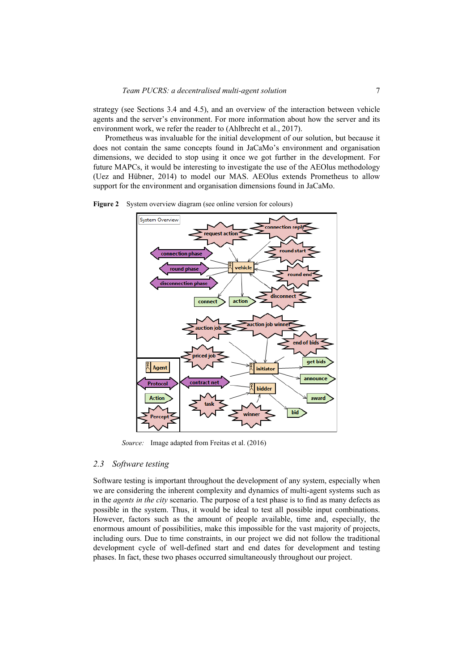strategy (see Sections 3.4 and 4.5), and an overview of the interaction between vehicle agents and the server's environment. For more information about how the server and its environment work, we refer the reader to (Ahlbrecht et al., 2017).

Prometheus was invaluable for the initial development of our solution, but because it does not contain the same concepts found in JaCaMo's environment and organisation dimensions, we decided to stop using it once we got further in the development. For future MAPCs, it would be interesting to investigate the use of the AEOlus methodology (Uez and Hübner, 2014) to model our MAS. AEOlus extends Prometheus to allow support for the environment and organisation dimensions found in JaCaMo.



Figure 2 System overview diagram (see online version for colours)

*Source:* Image adapted from Freitas et al. (2016)

#### *2.3 Software testing*

Software testing is important throughout the development of any system, especially when we are considering the inherent complexity and dynamics of multi-agent systems such as in the *agents in the city* scenario. The purpose of a test phase is to find as many defects as possible in the system. Thus, it would be ideal to test all possible input combinations. However, factors such as the amount of people available, time and, especially, the enormous amount of possibilities, make this impossible for the vast majority of projects, including ours. Due to time constraints, in our project we did not follow the traditional development cycle of well-defined start and end dates for development and testing phases. In fact, these two phases occurred simultaneously throughout our project.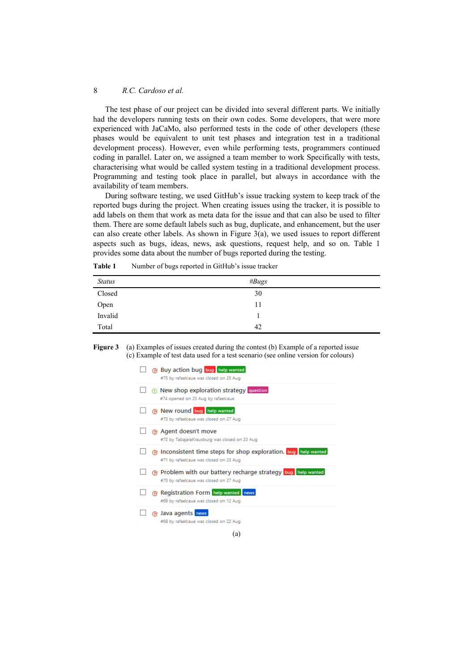The test phase of our project can be divided into several different parts. We initially had the developers running tests on their own codes. Some developers, that were more experienced with JaCaMo, also performed tests in the code of other developers (these phases would be equivalent to unit test phases and integration test in a traditional development process). However, even while performing tests, programmers continued coding in parallel. Later on, we assigned a team member to work Specifically with tests, characterising what would be called system testing in a traditional development process. Programming and testing took place in parallel, but always in accordance with the availability of team members.

During software testing, we used GitHub's issue tracking system to keep track of the reported bugs during the project. When creating issues using the tracker, it is possible to add labels on them that work as meta data for the issue and that can also be used to filter them. There are some default labels such as bug, duplicate, and enhancement, but the user can also create other labels. As shown in Figure  $3(a)$ , we used issues to report different aspects such as bugs, ideas, news, ask questions, request help, and so on. Table 1 provides some data about the number of bugs reported during the testing.

| <b>Status</b> | #Bugs |  |
|---------------|-------|--|
| Closed        | 30    |  |
| Open          | 11    |  |
| Invalid       |       |  |
| Total         | 42    |  |

**Table 1** Number of bugs reported in GitHub's issue tracker

| <b>Figure 3</b> (a) Examples of issues created during the contest (b) Example of a reported issue |
|---------------------------------------------------------------------------------------------------|
| (c) Example of test data used for a test scenario (see online version for colours)                |

| ® Buy action bug bug help wanted<br>#75 by rafaelcaue was closed on 25 Aug                                       |
|------------------------------------------------------------------------------------------------------------------|
| (i) New shop exploration strategy question<br>#74 opened on 23 Aug by rafaelcaue                                 |
| Rew round bug help wanted<br>#73 by rafaelcaue was closed on 27 Aug                                              |
| ® Agent doesn't move<br>#72 by TabajaraKrausburg was closed on 23 Aug                                            |
| <b>B</b> Inconsistent time steps for shop exploration. bug help wanted<br>#71 by rafaelcaue was closed on 23 Aug |
| <b>B</b> Problem with our battery recharge strategy bug help wanted<br>#70 by rafaelcaue was closed on 27 Aug    |
| Registration Form help wanted news<br>#69 by rafaelcaue was closed on 12 Aug                                     |
| (B) Java agents news<br>#68 by rafaelcaue was closed on 22 Aug                                                   |

(a)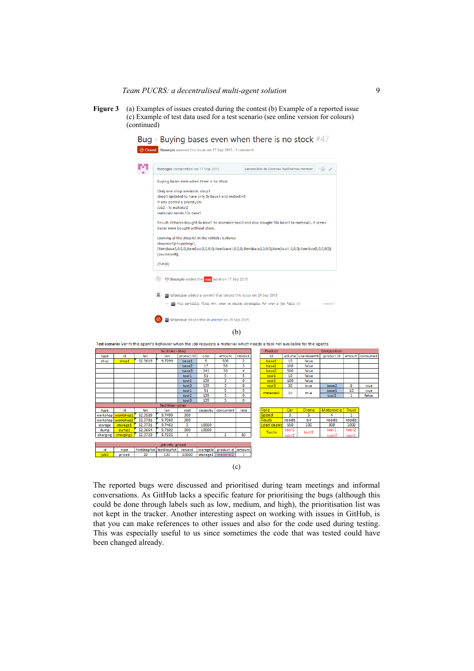Figure 3 (a) Examples of issues created during the contest (b) Example of a reported issue (c) Example of test data used for a test scenario (see online version for colours) (continued)

| <b><i>C</i></b> Closed | Bug - Buying bases even when there is no stock $#47$<br>tbasegio opened this issue on 17 Sep 2015 - 1 comment                                                                                                                                                                                                                                                                                                                                                                                                                                                                       |  |  |  |  |  |  |
|------------------------|-------------------------------------------------------------------------------------------------------------------------------------------------------------------------------------------------------------------------------------------------------------------------------------------------------------------------------------------------------------------------------------------------------------------------------------------------------------------------------------------------------------------------------------------------------------------------------------|--|--|--|--|--|--|
|                        | tbasegio commented on 17 Sep 2015<br>Laboratório de Sistemas Autônomos member                                                                                                                                                                                                                                                                                                                                                                                                                                                                                                       |  |  |  |  |  |  |
|                        | Buving bases even when there is no stock<br>Only one shop available: shop1<br>shop1 updated to have only 5x base1 and restock=0<br>It was posted a priced job:<br>job2 - 1x material2<br>material2 needs 10x base1<br>Result: Vehicles bought 8x base1 to assemble tool3 and also bought 10x base1 to material2. It seems<br>bases were bought without stock.<br>Looking at the shoplist in the vehicles believes:<br>shopsList([shop(shop1,<br>[item(base3,0,0,0),item(tool2,0,0,0),item(base1,0,0,0),item(base2,0,0,0),item(tool1,0,0,0),item(tool3,0,0,0)]]])<br>[source(self)]. |  |  |  |  |  |  |
|                        | M tbasegio added the bug label on 17 Sep 2015                                                                                                                                                                                                                                                                                                                                                                                                                                                                                                                                       |  |  |  |  |  |  |
|                        | re rafaelcaue added a commit that closed this issue on 29 Sep 2015<br>This partially fixes #47. When we decide strategies for when a job fails<br>45835bf                                                                                                                                                                                                                                                                                                                                                                                                                           |  |  |  |  |  |  |
|                        | rafaelcaue closed this in 45835bf on 29 Sep 2015<br>(b)                                                                                                                                                                                                                                                                                                                                                                                                                                                                                                                             |  |  |  |  |  |  |

Test scenario: Verify the agent's behavior when the job requests a material which needs a tool not available for the agents

| facilities - shop |                    |                          |                  |            |           | Product               |         |  | Composition           |        |              |                   |                   |                   |
|-------------------|--------------------|--------------------------|------------------|------------|-----------|-----------------------|---------|--|-----------------------|--------|--------------|-------------------|-------------------|-------------------|
| type              | id                 | lat                      | lon              | product id | cost      | amount                | restock |  | id                    | volume | userAssemb   | product id        |                   | amount   consumed |
| shop              | shop1              | 52.3619                  | 9.7299           | base1      | 5         | 500                   | 2       |  | base1                 | 10     | false        |                   |                   |                   |
|                   |                    |                          |                  | base2      | 17        | 50                    | з       |  | base2                 | 100    | false        |                   |                   |                   |
|                   |                    |                          |                  | base3      | 241       | 30                    | 4       |  | base3                 | 500    | false        |                   |                   |                   |
|                   |                    |                          |                  | tool1      | 51        | 5                     | 5       |  | tool1                 | 10     | false        |                   |                   |                   |
|                   |                    |                          |                  | tool2      | 139       | з                     | ٥       |  | tool <sub>2</sub>     | 100    | false        |                   |                   |                   |
|                   |                    |                          |                  | tool3      | 139       | з                     | o       |  | tool3                 | 30     | true         | base2             | 8                 | true              |
|                   |                    |                          |                  | tool1      | 51        | 5                     | 5       |  | material <sub>2</sub> | 20     | true         | base1             | 10                | true              |
|                   |                    |                          |                  | tool2      | 139       | 3                     | o       |  |                       |        |              | tool3             | 1                 | false             |
|                   |                    |                          |                  | tool3      | 139       | з                     | ٥       |  |                       |        |              |                   |                   |                   |
|                   |                    |                          | facilities-other |            |           |                       |         |  |                       |        |              |                   |                   |                   |
| type              | id                 | lat                      | lon              | cost       | capacity  | concurrent            | rate    |  | Role                  | Car    | <b>Drone</b> | Motorcycle        | <b>Truck</b>      |                   |
|                   | workshop workshop1 | 52.3589                  | 9.7499           | 300        |           |                       |         |  | Speed                 | з      | 5            | 4                 | 1                 |                   |
|                   | workshop workshop2 | 52.3781                  | 9.7060           | 300        |           |                       |         |  | <b>Routs</b>          | roads  | air          | roads             | roads             |                   |
| storage           | storage1           | 52.3731                  | 9.7462           | з          | 10000     |                       |         |  | Load capac            | 550    | 100          | 300               | 1000              |                   |
| dump              | dump1              | 52.3664                  | 9.7102           | 300        | 10000     |                       |         |  | <b>Tools</b>          | tool1  | tool1        | tool1             | tool <sub>2</sub> |                   |
| charging          | charging1          | 52.3729                  | 9.7235           | 1          |           | 2                     | 80      |  |                       | tool2  |              | tool <sub>2</sub> | tool1             |                   |
|                   |                    |                          |                  |            |           |                       |         |  |                       |        |              |                   |                   |                   |
|                   | iob info - priced  |                          |                  |            |           |                       |         |  |                       |        |              |                   |                   |                   |
| id                | type               | firstStepAct lastStepAct |                  | reward     | storageld | product id amount     |         |  |                       |        |              |                   |                   |                   |
| job <sub>2</sub>  | priced             | 20                       | 130              | 10000      | storage1  | material <sub>2</sub> | 1       |  |                       |        |              |                   |                   |                   |
|                   |                    |                          |                  |            |           |                       |         |  |                       |        |              |                   |                   |                   |
|                   |                    |                          |                  |            |           |                       |         |  |                       |        |              |                   |                   |                   |

(c)

The reported bugs were discussed and prioritised during team meetings and informal conversations. As GitHub lacks a specific feature for prioritising the bugs (although this could be done through labels such as low, medium, and high), the prioritisation list was not kept in the tracker. Another interesting aspect on working with issues in GitHub, is that you can make references to other issues and also for the code used during testing. This was especially useful to us since sometimes the code that was tested could have been changed already.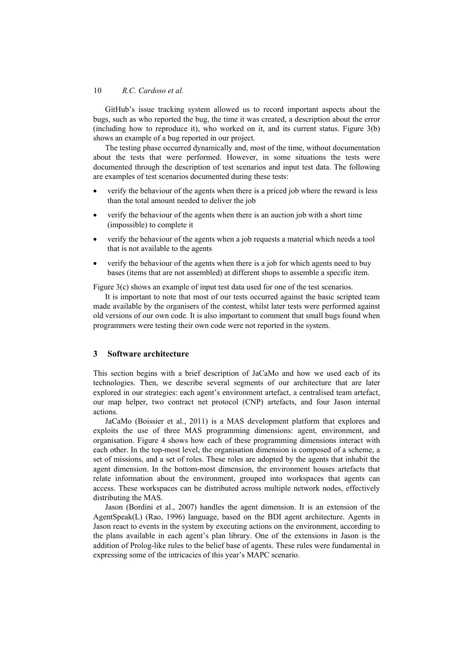GitHub's issue tracking system allowed us to record important aspects about the bugs, such as who reported the bug, the time it was created, a description about the error (including how to reproduce it), who worked on it, and its current status. Figure 3(b) shows an example of a bug reported in our project.

The testing phase occurred dynamically and, most of the time, without documentation about the tests that were performed. However, in some situations the tests were documented through the description of test scenarios and input test data. The following are examples of test scenarios documented during these tests:

- verify the behaviour of the agents when there is a priced job where the reward is less than the total amount needed to deliver the job
- verify the behaviour of the agents when there is an auction job with a short time (impossible) to complete it
- verify the behaviour of the agents when a job requests a material which needs a tool that is not available to the agents
- verify the behaviour of the agents when there is a job for which agents need to buy bases (items that are not assembled) at different shops to assemble a specific item.

Figure 3(c) shows an example of input test data used for one of the test scenarios.

It is important to note that most of our tests occurred against the basic scripted team made available by the organisers of the contest, whilst later tests were performed against old versions of our own code. It is also important to comment that small bugs found when programmers were testing their own code were not reported in the system.

#### **3 Software architecture**

This section begins with a brief description of JaCaMo and how we used each of its technologies. Then, we describe several segments of our architecture that are later explored in our strategies: each agent's environment artefact, a centralised team artefact, our map helper, two contract net protocol (CNP) artefacts, and four Jason internal actions.

JaCaMo (Boissier et al., 2011) is a MAS development platform that explores and exploits the use of three MAS programming dimensions: agent, environment, and organisation. Figure 4 shows how each of these programming dimensions interact with each other. In the top-most level, the organisation dimension is composed of a scheme, a set of missions, and a set of roles. These roles are adopted by the agents that inhabit the agent dimension. In the bottom-most dimension, the environment houses artefacts that relate information about the environment, grouped into workspaces that agents can access. These workspaces can be distributed across multiple network nodes, effectively distributing the MAS.

Jason (Bordini et al., 2007) handles the agent dimension. It is an extension of the AgentSpeak(L) (Rao, 1996) language, based on the BDI agent architecture. Agents in Jason react to events in the system by executing actions on the environment, according to the plans available in each agent's plan library. One of the extensions in Jason is the addition of Prolog-like rules to the belief base of agents. These rules were fundamental in expressing some of the intricacies of this year's MAPC scenario.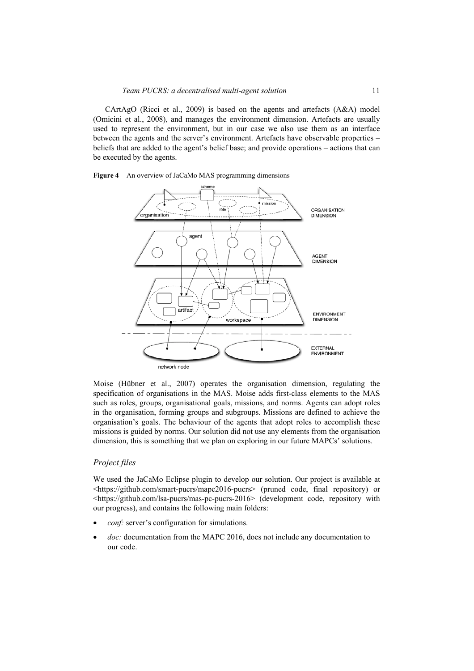CArtAgO (Ricci et al., 2009) is based on the agents and artefacts (A&A) model (Omicini et al., 2008), and manages the environment dimension. Artefacts are usually used to represent the environment, but in our case we also use them as an interface between the agents and the server's environment. Artefacts have observable properties – beliefs that are added to the agent's belief base; and provide operations – actions that can be executed by the agents.





Moise (Hübner et al., 2007) operates the organisation dimension, regulating the specification of organisations in the MAS. Moise adds first-class elements to the MAS such as roles, groups, organisational goals, missions, and norms. Agents can adopt roles in the organisation, forming groups and subgroups. Missions are defined to achieve the organisation's goals. The behaviour of the agents that adopt roles to accomplish these missions is guided by norms. Our solution did not use any elements from the organisation dimension, this is something that we plan on exploring in our future MAPCs' solutions.

# *Project files*

We used the JaCaMo Eclipse plugin to develop our solution. Our project is available at <https://github.com/smart-pucrs/mapc2016-pucrs> (pruned code, final repository) or <https://github.com/lsa-pucrs/mas-pc-pucrs-2016> (development code, repository with our progress), and contains the following main folders:

- *conf:* server's configuration for simulations.
- *doc:* documentation from the MAPC 2016, does not include any documentation to our code.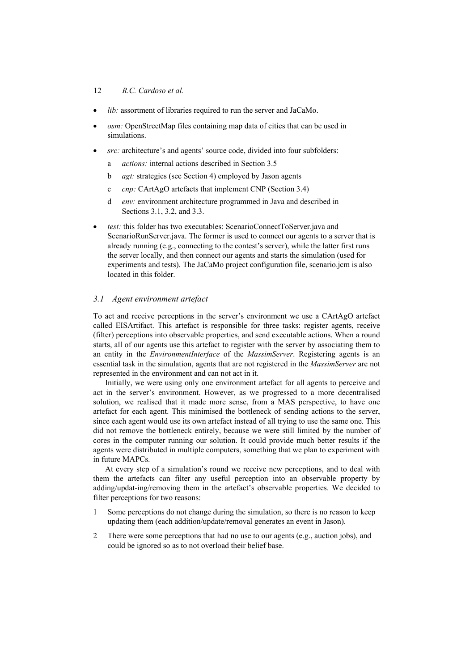- *lib*: assortment of libraries required to run the server and JaCaMo.
- *osm:* OpenStreetMap files containing map data of cities that can be used in simulations.
- src: architecture's and agents' source code, divided into four subfolders:
	- a *actions:* internal actions described in Section 3.5
	- b *agt:* strategies (see Section 4) employed by Jason agents
	- c *cnp:* CArtAgO artefacts that implement CNP (Section 3.4)
	- d *env:* environment architecture programmed in Java and described in Sections 3.1, 3.2, and 3.3.
- *test:* this folder has two executables: ScenarioConnectToServer.java and ScenarioRunServer.java. The former is used to connect our agents to a server that is already running (e.g., connecting to the contest's server), while the latter first runs the server locally, and then connect our agents and starts the simulation (used for experiments and tests). The JaCaMo project configuration file, scenario.jcm is also located in this folder.

#### *3.1 Agent environment artefact*

To act and receive perceptions in the server's environment we use a CArtAgO artefact called EISArtifact. This artefact is responsible for three tasks: register agents, receive (filter) perceptions into observable properties, and send executable actions. When a round starts, all of our agents use this artefact to register with the server by associating them to an entity in the *EnvironmentInterface* of the *MassimServer*. Registering agents is an essential task in the simulation, agents that are not registered in the *MassimServer* are not represented in the environment and can not act in it.

Initially, we were using only one environment artefact for all agents to perceive and act in the server's environment. However, as we progressed to a more decentralised solution, we realised that it made more sense, from a MAS perspective, to have one artefact for each agent. This minimised the bottleneck of sending actions to the server, since each agent would use its own artefact instead of all trying to use the same one. This did not remove the bottleneck entirely, because we were still limited by the number of cores in the computer running our solution. It could provide much better results if the agents were distributed in multiple computers, something that we plan to experiment with in future MAPCs.

At every step of a simulation's round we receive new perceptions, and to deal with them the artefacts can filter any useful perception into an observable property by adding/updat-ing/removing them in the artefact's observable properties. We decided to filter perceptions for two reasons:

- 1 Some perceptions do not change during the simulation, so there is no reason to keep updating them (each addition/update/removal generates an event in Jason).
- 2 There were some perceptions that had no use to our agents (e.g., auction jobs), and could be ignored so as to not overload their belief base.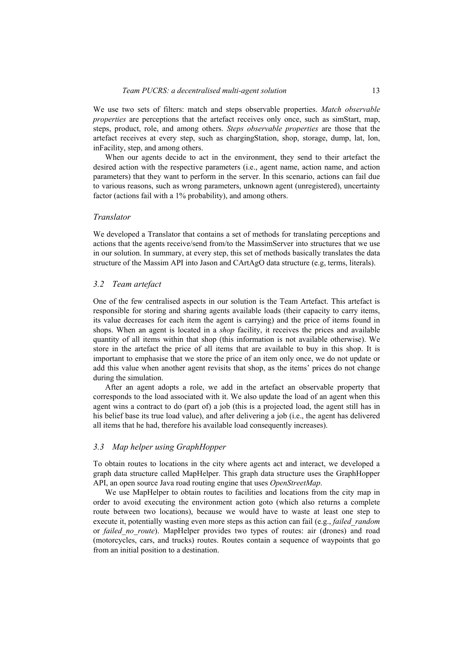We use two sets of filters: match and steps observable properties. *Match observable properties* are perceptions that the artefact receives only once, such as simStart, map, steps, product, role, and among others. *Steps observable properties* are those that the artefact receives at every step, such as chargingStation, shop, storage, dump, lat, lon, inFacility, step, and among others.

When our agents decide to act in the environment, they send to their artefact the desired action with the respective parameters (i.e., agent name, action name, and action parameters) that they want to perform in the server. In this scenario, actions can fail due to various reasons, such as wrong parameters, unknown agent (unregistered), uncertainty factor (actions fail with a 1% probability), and among others.

#### *Translator*

We developed a Translator that contains a set of methods for translating perceptions and actions that the agents receive/send from/to the MassimServer into structures that we use in our solution. In summary, at every step, this set of methods basically translates the data structure of the Massim API into Jason and CArtAgO data structure (e.g, terms, literals).

### *3.2 Team artefact*

One of the few centralised aspects in our solution is the Team Artefact. This artefact is responsible for storing and sharing agents available loads (their capacity to carry items, its value decreases for each item the agent is carrying) and the price of items found in shops. When an agent is located in a *shop* facility, it receives the prices and available quantity of all items within that shop (this information is not available otherwise). We store in the artefact the price of all items that are available to buy in this shop. It is important to emphasise that we store the price of an item only once, we do not update or add this value when another agent revisits that shop, as the items' prices do not change during the simulation.

After an agent adopts a role, we add in the artefact an observable property that corresponds to the load associated with it. We also update the load of an agent when this agent wins a contract to do (part of) a job (this is a projected load, the agent still has in his belief base its true load value), and after delivering a job (i.e., the agent has delivered all items that he had, therefore his available load consequently increases).

#### *3.3 Map helper using GraphHopper*

To obtain routes to locations in the city where agents act and interact, we developed a graph data structure called MapHelper. This graph data structure uses the GraphHopper API, an open source Java road routing engine that uses *OpenStreetMap*.

We use MapHelper to obtain routes to facilities and locations from the city map in order to avoid executing the environment action goto (which also returns a complete route between two locations), because we would have to waste at least one step to execute it, potentially wasting even more steps as this action can fail (e.g., *failed\_random* or *failed\_no\_route*). MapHelper provides two types of routes: air (drones) and road (motorcycles, cars, and trucks) routes. Routes contain a sequence of waypoints that go from an initial position to a destination.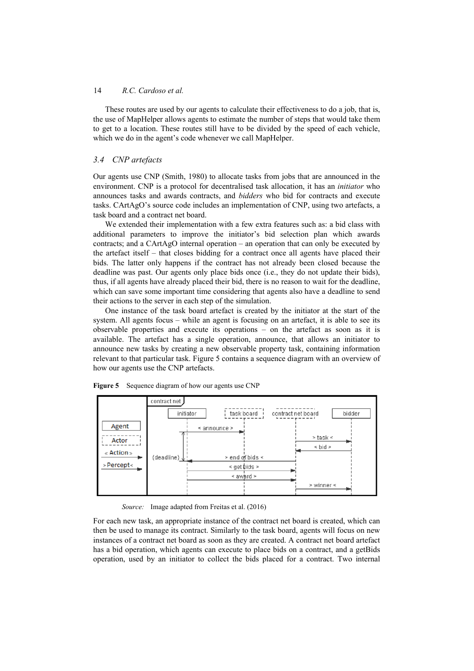These routes are used by our agents to calculate their effectiveness to do a job, that is, the use of MapHelper allows agents to estimate the number of steps that would take them to get to a location. These routes still have to be divided by the speed of each vehicle, which we do in the agent's code whenever we call MapHelper.

#### *3.4 CNP artefacts*

Our agents use CNP (Smith, 1980) to allocate tasks from jobs that are announced in the environment. CNP is a protocol for decentralised task allocation, it has an *initiator* who announces tasks and awards contracts, and *bidders* who bid for contracts and execute tasks. CArtAgO's source code includes an implementation of CNP, using two artefacts, a task board and a contract net board.

We extended their implementation with a few extra features such as: a bid class with additional parameters to improve the initiator's bid selection plan which awards contracts; and a CArtAgO internal operation – an operation that can only be executed by the artefact itself – that closes bidding for a contract once all agents have placed their bids. The latter only happens if the contract has not already been closed because the deadline was past. Our agents only place bids once (i.e., they do not update their bids), thus, if all agents have already placed their bid, there is no reason to wait for the deadline, which can save some important time considering that agents also have a deadline to send their actions to the server in each step of the simulation.

One instance of the task board artefact is created by the initiator at the start of the system. All agents focus – while an agent is focusing on an artefact, it is able to see its observable properties and execute its operations – on the artefact as soon as it is available. The artefact has a single operation, announce, that allows an initiator to announce new tasks by creating a new observable property task, containing information relevant to that particular task. Figure 5 contains a sequence diagram with an overview of how our agents use the CNP artefacts.



**Figure 5** Sequence diagram of how our agents use CNP

*Source:* Image adapted from Freitas et al. (2016)

For each new task, an appropriate instance of the contract net board is created, which can then be used to manage its contract. Similarly to the task board, agents will focus on new instances of a contract net board as soon as they are created. A contract net board artefact has a bid operation, which agents can execute to place bids on a contract, and a getBids operation, used by an initiator to collect the bids placed for a contract. Two internal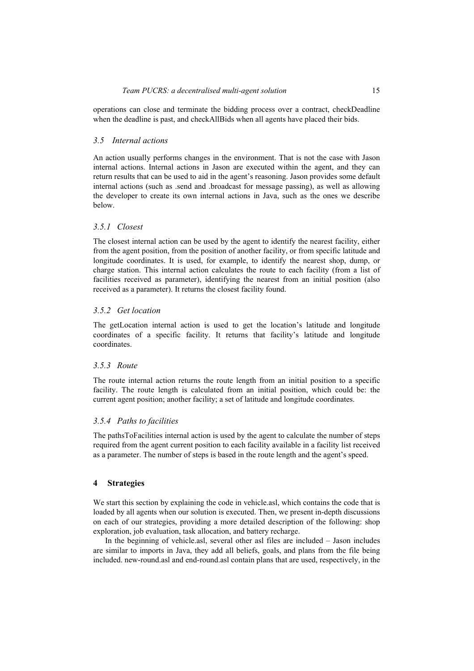operations can close and terminate the bidding process over a contract, checkDeadline when the deadline is past, and checkAllBids when all agents have placed their bids.

#### *3.5 Internal actions*

An action usually performs changes in the environment. That is not the case with Jason internal actions. Internal actions in Jason are executed within the agent, and they can return results that can be used to aid in the agent's reasoning. Jason provides some default internal actions (such as .send and .broadcast for message passing), as well as allowing the developer to create its own internal actions in Java, such as the ones we describe below.

#### *3.5.1 Closest*

The closest internal action can be used by the agent to identify the nearest facility, either from the agent position, from the position of another facility, or from specific latitude and longitude coordinates. It is used, for example, to identify the nearest shop, dump, or charge station. This internal action calculates the route to each facility (from a list of facilities received as parameter), identifying the nearest from an initial position (also received as a parameter). It returns the closest facility found.

#### *3.5.2 Get location*

The getLocation internal action is used to get the location's latitude and longitude coordinates of a specific facility. It returns that facility's latitude and longitude coordinates.

# *3.5.3 Route*

The route internal action returns the route length from an initial position to a specific facility. The route length is calculated from an initial position, which could be: the current agent position; another facility; a set of latitude and longitude coordinates.

### *3.5.4 Paths to facilities*

The pathsToFacilities internal action is used by the agent to calculate the number of steps required from the agent current position to each facility available in a facility list received as a parameter. The number of steps is based in the route length and the agent's speed.

## **4 Strategies**

We start this section by explaining the code in vehicle.asl, which contains the code that is loaded by all agents when our solution is executed. Then, we present in-depth discussions on each of our strategies, providing a more detailed description of the following: shop exploration, job evaluation, task allocation, and battery recharge.

In the beginning of vehicle.asl, several other asl files are included – Jason includes are similar to imports in Java, they add all beliefs, goals, and plans from the file being included. new-round.asl and end-round.asl contain plans that are used, respectively, in the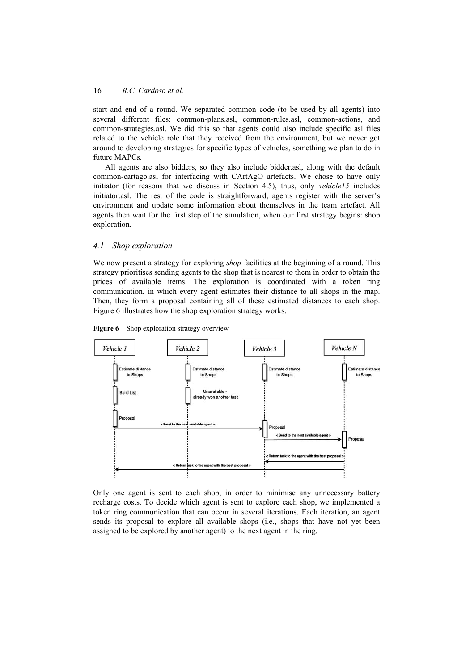start and end of a round. We separated common code (to be used by all agents) into several different files: common-plans.asl, common-rules.asl, common-actions, and common-strategies.asl. We did this so that agents could also include specific asl files related to the vehicle role that they received from the environment, but we never got around to developing strategies for specific types of vehicles, something we plan to do in future MAPCs.

All agents are also bidders, so they also include bidder.asl, along with the default common-cartago.asl for interfacing with CArtAgO artefacts. We chose to have only initiator (for reasons that we discuss in Section 4.5), thus, only *vehicle15* includes initiator.asl. The rest of the code is straightforward, agents register with the server's environment and update some information about themselves in the team artefact. All agents then wait for the first step of the simulation, when our first strategy begins: shop exploration.

#### *4.1 Shop exploration*

We now present a strategy for exploring *shop* facilities at the beginning of a round. This strategy prioritises sending agents to the shop that is nearest to them in order to obtain the prices of available items. The exploration is coordinated with a token ring communication, in which every agent estimates their distance to all shops in the map. Then, they form a proposal containing all of these estimated distances to each shop. Figure 6 illustrates how the shop exploration strategy works.





Only one agent is sent to each shop, in order to minimise any unnecessary battery recharge costs. To decide which agent is sent to explore each shop, we implemented a token ring communication that can occur in several iterations. Each iteration, an agent sends its proposal to explore all available shops (i.e., shops that have not yet been assigned to be explored by another agent) to the next agent in the ring.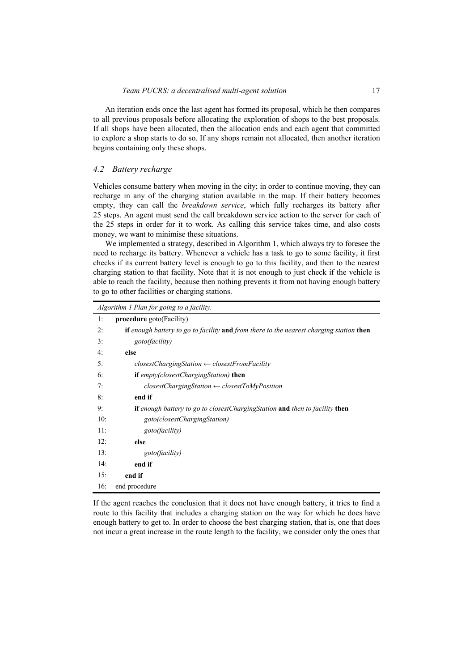An iteration ends once the last agent has formed its proposal, which he then compares to all previous proposals before allocating the exploration of shops to the best proposals. If all shops have been allocated, then the allocation ends and each agent that committed to explore a shop starts to do so. If any shops remain not allocated, then another iteration begins containing only these shops.

# *4.2 Battery recharge*

Vehicles consume battery when moving in the city; in order to continue moving, they can recharge in any of the charging station available in the map. If their battery becomes empty, they can call the *breakdown service*, which fully recharges its battery after 25 steps. An agent must send the call breakdown service action to the server for each of the 25 steps in order for it to work. As calling this service takes time, and also costs money, we want to minimise these situations.

We implemented a strategy, described in Algorithm 1, which always try to foresee the need to recharge its battery. Whenever a vehicle has a task to go to some facility, it first checks if its current battery level is enough to go to this facility, and then to the nearest charging station to that facility. Note that it is not enough to just check if the vehicle is able to reach the facility, because then nothing prevents it from not having enough battery to go to other facilities or charging stations.

| Algorithm 1 Plan for going to a facility.                                                                          |  |  |  |  |
|--------------------------------------------------------------------------------------------------------------------|--|--|--|--|
| 1:<br><b>procedure</b> goto(Facility)                                                                              |  |  |  |  |
| <b>if</b> enough battery to go to facility <b>and</b> from there to the nearest charging station <b>then</b><br>2: |  |  |  |  |
| 3:<br>goto(facility)                                                                                               |  |  |  |  |
| 4:<br>else                                                                                                         |  |  |  |  |
| 5:<br>$closestChargingStation \leftarrow closestFromFacility$                                                      |  |  |  |  |
| 6:<br>if empty(closestChargingStation) then                                                                        |  |  |  |  |
| 7:<br>$closestChargingStation \leftarrow closestToMyPosition$                                                      |  |  |  |  |
| 8:<br>end if                                                                                                       |  |  |  |  |
| 9:<br><b>if</b> enough battery to go to closestChargingStation and then to facility then                           |  |  |  |  |
| 10:<br>goto(closestChargingStation)                                                                                |  |  |  |  |
| 11:<br>goto(facility)                                                                                              |  |  |  |  |
| 12:<br>else                                                                                                        |  |  |  |  |
| 13:<br>goto(facility)                                                                                              |  |  |  |  |
| 14:<br>end if                                                                                                      |  |  |  |  |
| end if<br>15:                                                                                                      |  |  |  |  |
| end procedure<br>16:                                                                                               |  |  |  |  |

If the agent reaches the conclusion that it does not have enough battery, it tries to find a route to this facility that includes a charging station on the way for which he does have enough battery to get to. In order to choose the best charging station, that is, one that does not incur a great increase in the route length to the facility, we consider only the ones that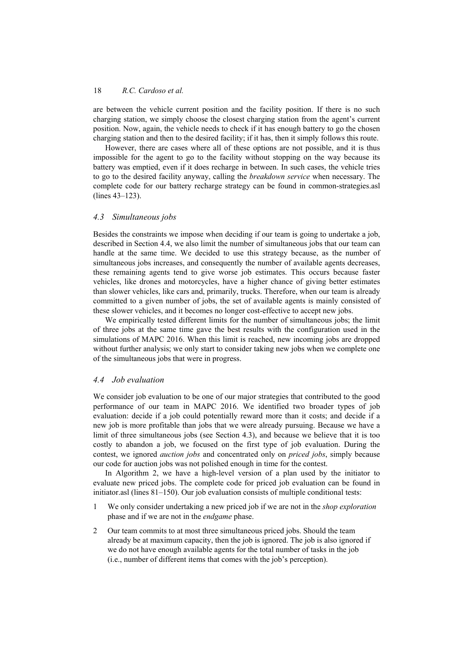are between the vehicle current position and the facility position. If there is no such charging station, we simply choose the closest charging station from the agent's current position. Now, again, the vehicle needs to check if it has enough battery to go the chosen charging station and then to the desired facility; if it has, then it simply follows this route.

However, there are cases where all of these options are not possible, and it is thus impossible for the agent to go to the facility without stopping on the way because its battery was emptied, even if it does recharge in between. In such cases, the vehicle tries to go to the desired facility anyway, calling the *breakdown service* when necessary. The complete code for our battery recharge strategy can be found in common-strategies.asl (lines 43–123).

## *4.3 Simultaneous jobs*

Besides the constraints we impose when deciding if our team is going to undertake a job, described in Section 4.4, we also limit the number of simultaneous jobs that our team can handle at the same time. We decided to use this strategy because, as the number of simultaneous jobs increases, and consequently the number of available agents decreases, these remaining agents tend to give worse job estimates. This occurs because faster vehicles, like drones and motorcycles, have a higher chance of giving better estimates than slower vehicles, like cars and, primarily, trucks. Therefore, when our team is already committed to a given number of jobs, the set of available agents is mainly consisted of these slower vehicles, and it becomes no longer cost-effective to accept new jobs.

We empirically tested different limits for the number of simultaneous jobs; the limit of three jobs at the same time gave the best results with the configuration used in the simulations of MAPC 2016. When this limit is reached, new incoming jobs are dropped without further analysis; we only start to consider taking new jobs when we complete one of the simultaneous jobs that were in progress.

#### *4.4 Job evaluation*

We consider job evaluation to be one of our major strategies that contributed to the good performance of our team in MAPC 2016. We identified two broader types of job evaluation: decide if a job could potentially reward more than it costs; and decide if a new job is more profitable than jobs that we were already pursuing. Because we have a limit of three simultaneous jobs (see Section 4.3), and because we believe that it is too costly to abandon a job, we focused on the first type of job evaluation. During the contest, we ignored *auction jobs* and concentrated only on *priced jobs*, simply because our code for auction jobs was not polished enough in time for the contest.

In Algorithm 2, we have a high-level version of a plan used by the initiator to evaluate new priced jobs. The complete code for priced job evaluation can be found in initiator.asl (lines 81–150). Our job evaluation consists of multiple conditional tests:

- 1 We only consider undertaking a new priced job if we are not in the *shop exploration* phase and if we are not in the *endgame* phase.
- 2 Our team commits to at most three simultaneous priced jobs. Should the team already be at maximum capacity, then the job is ignored. The job is also ignored if we do not have enough available agents for the total number of tasks in the job (i.e., number of different items that comes with the job's perception).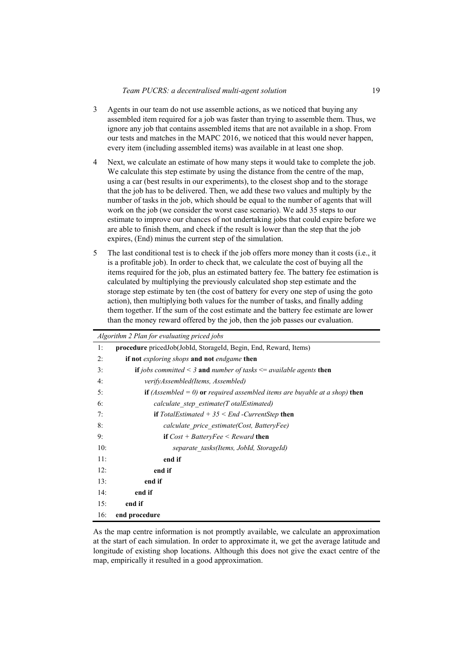- 3 Agents in our team do not use assemble actions, as we noticed that buying any assembled item required for a job was faster than trying to assemble them. Thus, we ignore any job that contains assembled items that are not available in a shop. From our tests and matches in the MAPC 2016, we noticed that this would never happen, every item (including assembled items) was available in at least one shop.
- 4 Next, we calculate an estimate of how many steps it would take to complete the job. We calculate this step estimate by using the distance from the centre of the map, using a car (best results in our experiments), to the closest shop and to the storage that the job has to be delivered. Then, we add these two values and multiply by the number of tasks in the job, which should be equal to the number of agents that will work on the job (we consider the worst case scenario). We add 35 steps to our estimate to improve our chances of not undertaking jobs that could expire before we are able to finish them, and check if the result is lower than the step that the job expires, (End) minus the current step of the simulation.
- 5 The last conditional test is to check if the job offers more money than it costs (i.e., it is a profitable job). In order to check that, we calculate the cost of buying all the items required for the job, plus an estimated battery fee. The battery fee estimation is calculated by multiplying the previously calculated shop step estimate and the storage step estimate by ten (the cost of battery for every one step of using the goto action), then multiplying both values for the number of tasks, and finally adding them together. If the sum of the cost estimate and the battery fee estimate are lower than the money reward offered by the job, then the job passes our evaluation.

|     | Algorithm 2 Plan for evaluating priced jobs                                        |  |  |  |  |
|-----|------------------------------------------------------------------------------------|--|--|--|--|
| 1:  | procedure pricedJob(JobId, StorageId, Begin, End, Reward, Items)                   |  |  |  |  |
| 2:  | if not exploring shops and not endgame then                                        |  |  |  |  |
| 3:  | <b>if</b> jobs committed $\leq$ 3 and number of tasks $\leq$ available agents then |  |  |  |  |
| 4:  | verifyAssembled(Items, Assembled)                                                  |  |  |  |  |
| 5:  | <b>if</b> (Assembled = 0) or required assembled items are buyable at a shop) then  |  |  |  |  |
| 6:  | calculate step estimate (T otal Estimated)                                         |  |  |  |  |
| 7:  | <b>if</b> TotalEstimated $+ 35 \leq$ End -CurrentStep then                         |  |  |  |  |
| 8:  | calculate price estimate(Cost, BatteryFee)                                         |  |  |  |  |
| 9:  | <b>if</b> $Cost + BatteryFee \leq Reward$ then                                     |  |  |  |  |
| 10: | separate tasks(Items, JobId, StorageId)                                            |  |  |  |  |
| 11: | end if                                                                             |  |  |  |  |
| 12: | end if                                                                             |  |  |  |  |
| 13: | end if                                                                             |  |  |  |  |
| 14: | end if                                                                             |  |  |  |  |
| 15: | end if                                                                             |  |  |  |  |
| 16: | end procedure                                                                      |  |  |  |  |

As the map centre information is not promptly available, we calculate an approximation at the start of each simulation. In order to approximate it, we get the average latitude and longitude of existing shop locations. Although this does not give the exact centre of the map, empirically it resulted in a good approximation.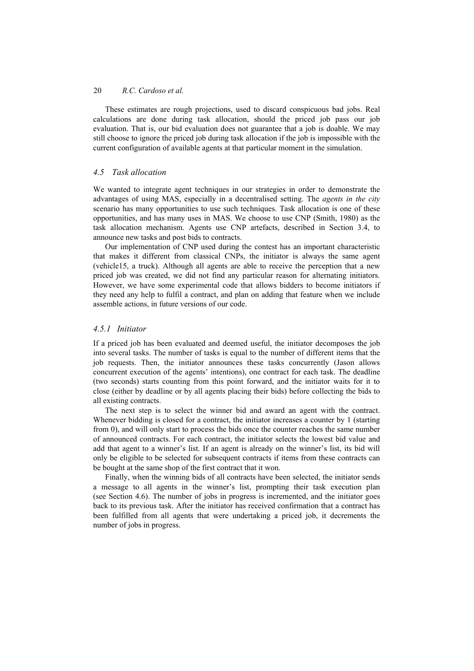These estimates are rough projections, used to discard conspicuous bad jobs. Real calculations are done during task allocation, should the priced job pass our job evaluation. That is, our bid evaluation does not guarantee that a job is doable. We may still choose to ignore the priced job during task allocation if the job is impossible with the current configuration of available agents at that particular moment in the simulation.

### *4.5 Task allocation*

We wanted to integrate agent techniques in our strategies in order to demonstrate the advantages of using MAS, especially in a decentralised setting. The *agents in the city* scenario has many opportunities to use such techniques. Task allocation is one of these opportunities, and has many uses in MAS. We choose to use CNP (Smith, 1980) as the task allocation mechanism. Agents use CNP artefacts, described in Section 3.4, to announce new tasks and post bids to contracts.

Our implementation of CNP used during the contest has an important characteristic that makes it different from classical CNPs, the initiator is always the same agent (vehicle15, a truck). Although all agents are able to receive the perception that a new priced job was created, we did not find any particular reason for alternating initiators. However, we have some experimental code that allows bidders to become initiators if they need any help to fulfil a contract, and plan on adding that feature when we include assemble actions, in future versions of our code.

## *4.5.1 Initiator*

If a priced job has been evaluated and deemed useful, the initiator decomposes the job into several tasks. The number of tasks is equal to the number of different items that the job requests. Then, the initiator announces these tasks concurrently (Jason allows concurrent execution of the agents' intentions), one contract for each task. The deadline (two seconds) starts counting from this point forward, and the initiator waits for it to close (either by deadline or by all agents placing their bids) before collecting the bids to all existing contracts.

The next step is to select the winner bid and award an agent with the contract. Whenever bidding is closed for a contract, the initiator increases a counter by 1 (starting from 0), and will only start to process the bids once the counter reaches the same number of announced contracts. For each contract, the initiator selects the lowest bid value and add that agent to a winner's list. If an agent is already on the winner's list, its bid will only be eligible to be selected for subsequent contracts if items from these contracts can be bought at the same shop of the first contract that it won.

Finally, when the winning bids of all contracts have been selected, the initiator sends a message to all agents in the winner's list, prompting their task execution plan (see Section 4.6). The number of jobs in progress is incremented, and the initiator goes back to its previous task. After the initiator has received confirmation that a contract has been fulfilled from all agents that were undertaking a priced job, it decrements the number of jobs in progress.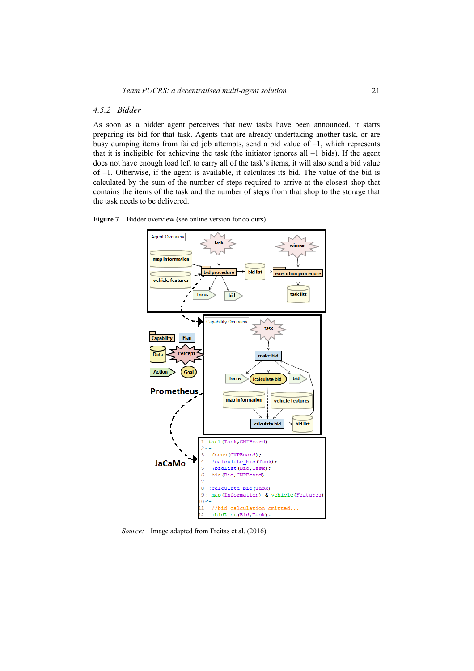# *4.5.2 Bidder*

As soon as a bidder agent perceives that new tasks have been announced, it starts preparing its bid for that task. Agents that are already undertaking another task, or are busy dumping items from failed job attempts, send a bid value of –1, which represents that it is ineligible for achieving the task (the initiator ignores all  $-1$  bids). If the agent does not have enough load left to carry all of the task's items, it will also send a bid value of –1. Otherwise, if the agent is available, it calculates its bid. The value of the bid is calculated by the sum of the number of steps required to arrive at the closest shop that contains the items of the task and the number of steps from that shop to the storage that the task needs to be delivered.





*Source:* Image adapted from Freitas et al. (2016)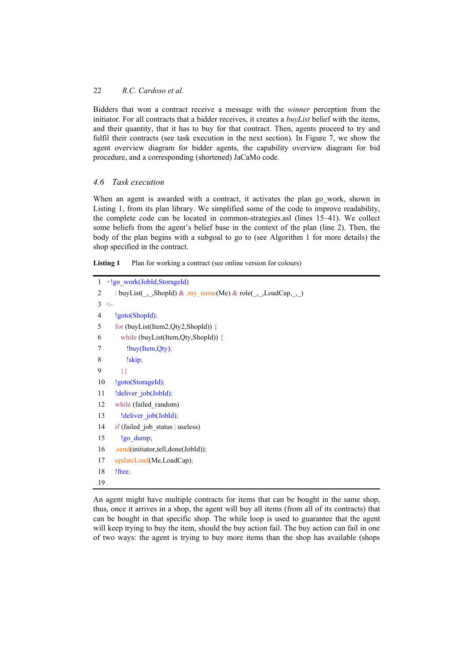Bidders that won a contract receive a message with the *winner* perception from the initiator. For all contracts that a bidder receives, it creates a *buyList* belief with the items, and their quantity, that it has to buy for that contract. Then, agents proceed to try and fulfil their contracts (see task execution in the next section). In Figure 7, we show the agent overview diagram for bidder agents, the capability overview diagram for bid procedure, and a corresponding (shortened) JaCaMo code.

#### *4.6 Task execution*

When an agent is awarded with a contract, it activates the plan go work, shown in Listing 1, from its plan library. We simplified some of the code to improve readability, the complete code can be located in common-strategies.asl (lines 15–41). We collect some beliefs from the agent's belief base in the context of the plan (line 2). Then, the body of the plan begins with a subgoal to go to (see Algorithm 1 for more details) the shop specified in the contract.

Listing 1 Plan for working a contract (see online version for colours)

|     | $1 + g$ o work(JobId,StorageId)                     |
|-----|-----------------------------------------------------|
| 2   | : buyList(,ShopId) & .my_name(Me) & role(,LoadCap,) |
| 3   | $\lt$                                               |
| 4   | !goto(ShopId);                                      |
| 5   | for (buyList(Item2, $Q$ ty2,ShopId)) {              |
| 6   | while (buyList(Item, Qty, ShopId)) {                |
| 7   | !buy(Item,Qty);                                     |
| 8   | !skip;                                              |
| 9   | }}                                                  |
| 10  | !goto(StorageId);                                   |
| 11  | !deliver_job(JobId);                                |
| 12  | while (failed random)                               |
| 13  | !deliver_job(JobId);                                |
| 14  | if (failed job status   useless)                    |
| 15  | !go dump;                                           |
| 16  | .send(initiator,tell,done(JobId));                  |
| 17  | updateLoad(Me,LoadCap);                             |
| 18  | !free;                                              |
| 19. |                                                     |

An agent might have multiple contracts for items that can be bought in the same shop, thus, once it arrives in a shop, the agent will buy all items (from all of its contracts) that can be bought in that specific shop. The while loop is used to guarantee that the agent will keep trying to buy the item, should the buy action fail. The buy action can fail in one of two ways: the agent is trying to buy more items than the shop has available (shops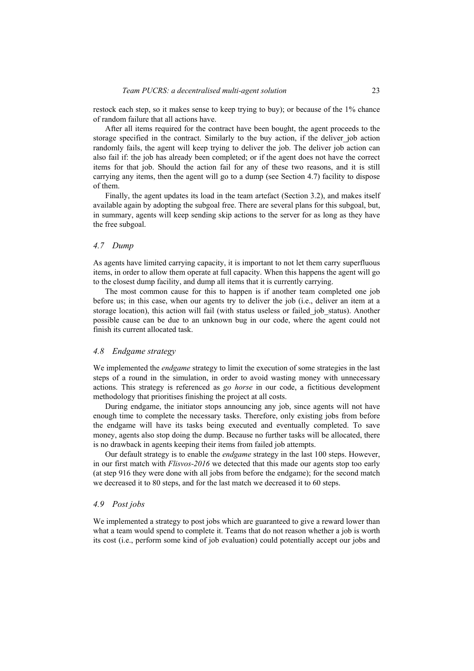restock each step, so it makes sense to keep trying to buy); or because of the 1% chance of random failure that all actions have.

After all items required for the contract have been bought, the agent proceeds to the storage specified in the contract. Similarly to the buy action, if the deliver job action randomly fails, the agent will keep trying to deliver the job. The deliver job action can also fail if: the job has already been completed; or if the agent does not have the correct items for that job. Should the action fail for any of these two reasons, and it is still carrying any items, then the agent will go to a dump (see Section 4.7) facility to dispose of them.

Finally, the agent updates its load in the team artefact (Section 3.2), and makes itself available again by adopting the subgoal free. There are several plans for this subgoal, but, in summary, agents will keep sending skip actions to the server for as long as they have the free subgoal.

#### *4.7 Dump*

As agents have limited carrying capacity, it is important to not let them carry superfluous items, in order to allow them operate at full capacity. When this happens the agent will go to the closest dump facility, and dump all items that it is currently carrying.

The most common cause for this to happen is if another team completed one job before us; in this case, when our agents try to deliver the job (i.e., deliver an item at a storage location), this action will fail (with status useless or failed job status). Another possible cause can be due to an unknown bug in our code, where the agent could not finish its current allocated task.

#### *4.8 Endgame strategy*

We implemented the *endgame* strategy to limit the execution of some strategies in the last steps of a round in the simulation, in order to avoid wasting money with unnecessary actions. This strategy is referenced as *go horse* in our code, a fictitious development methodology that prioritises finishing the project at all costs.

During endgame, the initiator stops announcing any job, since agents will not have enough time to complete the necessary tasks. Therefore, only existing jobs from before the endgame will have its tasks being executed and eventually completed. To save money, agents also stop doing the dump. Because no further tasks will be allocated, there is no drawback in agents keeping their items from failed job attempts.

Our default strategy is to enable the *endgame* strategy in the last 100 steps. However, in our first match with *Flisvos-2016* we detected that this made our agents stop too early (at step 916 they were done with all jobs from before the endgame); for the second match we decreased it to 80 steps, and for the last match we decreased it to 60 steps.

# *4.9 Post jobs*

We implemented a strategy to post jobs which are guaranteed to give a reward lower than what a team would spend to complete it. Teams that do not reason whether a job is worth its cost (i.e., perform some kind of job evaluation) could potentially accept our jobs and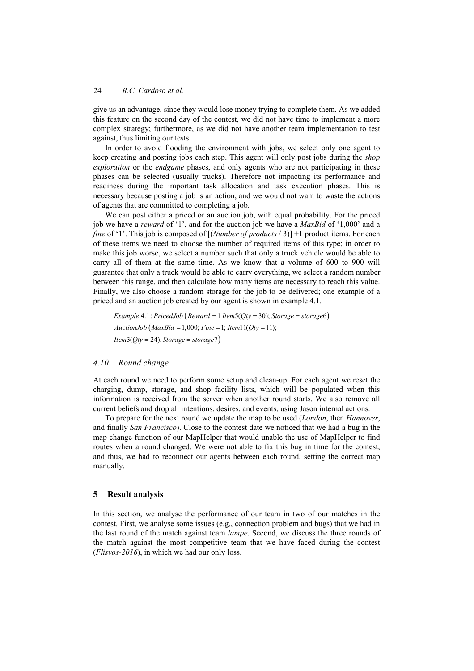give us an advantage, since they would lose money trying to complete them. As we added this feature on the second day of the contest, we did not have time to implement a more complex strategy; furthermore, as we did not have another team implementation to test against, thus limiting our tests.

In order to avoid flooding the environment with jobs, we select only one agent to keep creating and posting jobs each step. This agent will only post jobs during the *shop exploration* or the *endgame* phases, and only agents who are not participating in these phases can be selected (usually trucks). Therefore not impacting its performance and readiness during the important task allocation and task execution phases. This is necessary because posting a job is an action, and we would not want to waste the actions of agents that are committed to completing a job.

We can post either a priced or an auction job, with equal probability. For the priced job we have a *reward* of '1', and for the auction job we have a *MaxBid* of '1,000' and a *fine* of '1'. This job is composed of  $[(Number of products / 3)] +1$  product items. For each of these items we need to choose the number of required items of this type; in order to make this job worse, we select a number such that only a truck vehicle would be able to carry all of them at the same time. As we know that a volume of 600 to 900 will guarantee that only a truck would be able to carry everything, we select a random number between this range, and then calculate how many items are necessary to reach this value. Finally, we also choose a random storage for the job to be delivered; one example of a priced and an auction job created by our agent is shown in example 4.1.

 $Example 4.1$ : PricedJob ( $Reward = 1$  Item  $5(Qty = 30)$ ; Storage = storage 6)  $AuctionJob$  ( $MaxBid = 1,000; Fine = 1; Item11(Qty = 11);$  $Item3(Qty = 24)$ ; Storage = storage<sup>7</sup>)

### *4.10 Round change*

At each round we need to perform some setup and clean-up. For each agent we reset the charging, dump, storage, and shop facility lists, which will be populated when this information is received from the server when another round starts. We also remove all current beliefs and drop all intentions, desires, and events, using Jason internal actions.

To prepare for the next round we update the map to be used (*London*, then *Hannover*, and finally *San Francisco*). Close to the contest date we noticed that we had a bug in the map change function of our MapHelper that would unable the use of MapHelper to find routes when a round changed. We were not able to fix this bug in time for the contest, and thus, we had to reconnect our agents between each round, setting the correct map manually.

#### **5 Result analysis**

In this section, we analyse the performance of our team in two of our matches in the contest. First, we analyse some issues (e.g., connection problem and bugs) that we had in the last round of the match against team *lampe*. Second, we discuss the three rounds of the match against the most competitive team that we have faced during the contest (*Flisvos-2016*), in which we had our only loss.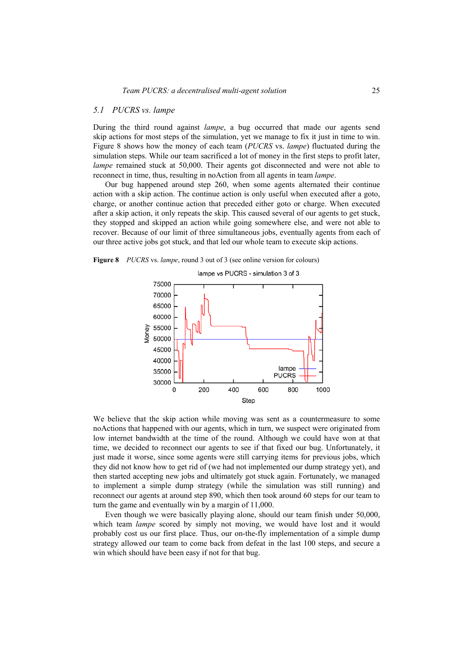#### *5.1 PUCRS vs. lampe*

During the third round against *lampe*, a bug occurred that made our agents send skip actions for most steps of the simulation, yet we manage to fix it just in time to win. Figure 8 shows how the money of each team (*PUCRS* vs. *lampe*) fluctuated during the simulation steps. While our team sacrificed a lot of money in the first steps to profit later, *lampe* remained stuck at 50,000. Their agents got disconnected and were not able to reconnect in time, thus, resulting in noAction from all agents in team *lampe*.

Our bug happened around step 260, when some agents alternated their continue action with a skip action. The continue action is only useful when executed after a goto, charge, or another continue action that preceded either goto or charge. When executed after a skip action, it only repeats the skip. This caused several of our agents to get stuck, they stopped and skipped an action while going somewhere else, and were not able to recover. Because of our limit of three simultaneous jobs, eventually agents from each of our three active jobs got stuck, and that led our whole team to execute skip actions.

**Figure 8** *PUCRS* vs. *lampe*, round 3 out of 3 (see online version for colours)



We believe that the skip action while moving was sent as a countermeasure to some noActions that happened with our agents, which in turn, we suspect were originated from low internet bandwidth at the time of the round. Although we could have won at that time, we decided to reconnect our agents to see if that fixed our bug. Unfortunately, it just made it worse, since some agents were still carrying items for previous jobs, which they did not know how to get rid of (we had not implemented our dump strategy yet), and then started accepting new jobs and ultimately got stuck again. Fortunately, we managed to implement a simple dump strategy (while the simulation was still running) and reconnect our agents at around step 890, which then took around 60 steps for our team to turn the game and eventually win by a margin of 11,000.

Even though we were basically playing alone, should our team finish under 50,000, which team *lampe* scored by simply not moving, we would have lost and it would probably cost us our first place. Thus, our on-the-fly implementation of a simple dump strategy allowed our team to come back from defeat in the last 100 steps, and secure a win which should have been easy if not for that bug.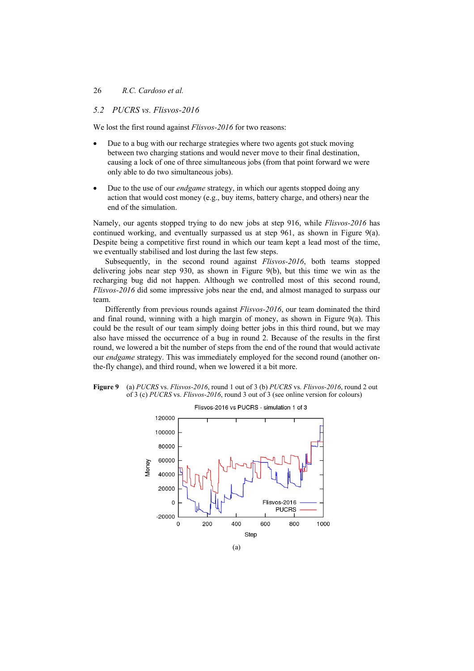# *5.2 PUCRS vs. Flisvos-2016*

We lost the first round against *Flisvos-2016* for two reasons:

- Due to a bug with our recharge strategies where two agents got stuck moving between two charging stations and would never move to their final destination, causing a lock of one of three simultaneous jobs (from that point forward we were only able to do two simultaneous jobs).
- Due to the use of our *endgame* strategy, in which our agents stopped doing any action that would cost money (e.g., buy items, battery charge, and others) near the end of the simulation.

Namely, our agents stopped trying to do new jobs at step 916, while *Flisvos-2016* has continued working, and eventually surpassed us at step 961, as shown in Figure 9(a). Despite being a competitive first round in which our team kept a lead most of the time, we eventually stabilised and lost during the last few steps.

Subsequently, in the second round against *Flisvos-2016*, both teams stopped delivering jobs near step 930, as shown in Figure 9(b), but this time we win as the recharging bug did not happen. Although we controlled most of this second round, *Flisvos-2016* did some impressive jobs near the end, and almost managed to surpass our team.

Differently from previous rounds against *Flisvos-2016*, our team dominated the third and final round, winning with a high margin of money, as shown in Figure 9(a). This could be the result of our team simply doing better jobs in this third round, but we may also have missed the occurrence of a bug in round 2. Because of the results in the first round, we lowered a bit the number of steps from the end of the round that would activate our *endgame* strategy. This was immediately employed for the second round (another onthe-fly change), and third round, when we lowered it a bit more.



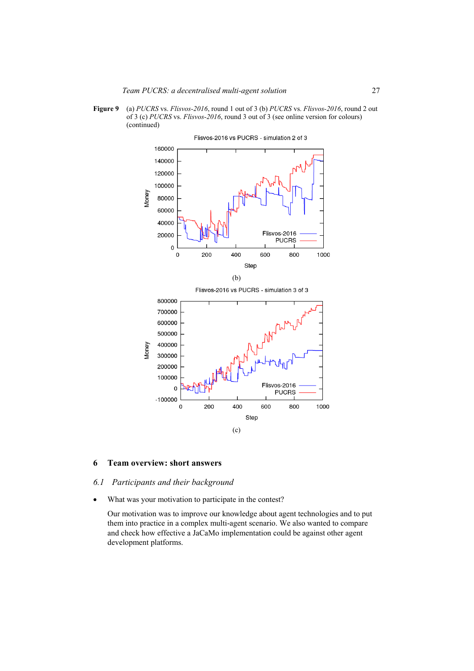**Figure 9** (a) *PUCRS* vs. *Flisvos-2016*, round 1 out of 3 (b) *PUCRS* vs. *Flisvos-2016*, round 2 out of 3 (c) *PUCRS* vs. *Flisvos-2016*, round 3 out of 3 (see online version for colours) (continued)



# **6 Team overview: short answers**

# *6.1 Participants and their background*

What was your motivation to participate in the contest?

 Our motivation was to improve our knowledge about agent technologies and to put them into practice in a complex multi-agent scenario. We also wanted to compare and check how effective a JaCaMo implementation could be against other agent development platforms.

(c)

Step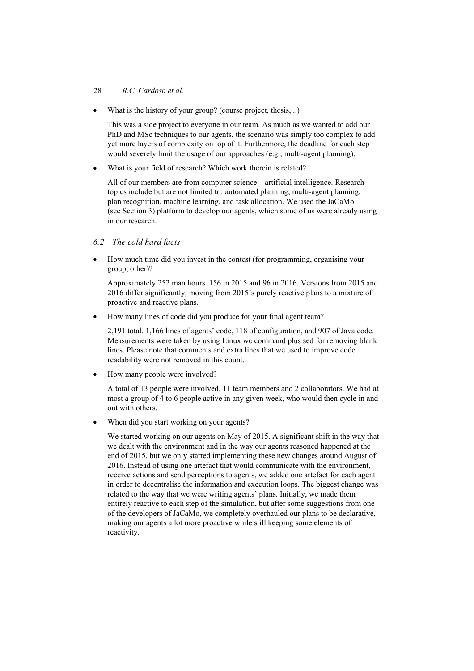What is the history of your group? (course project, thesis,...)

 This was a side project to everyone in our team. As much as we wanted to add our PhD and MSc techniques to our agents, the scenario was simply too complex to add yet more layers of complexity on top of it. Furthermore, the deadline for each step would severely limit the usage of our approaches (e.g., multi-agent planning).

What is your field of research? Which work therein is related?

 All of our members are from computer science – artificial intelligence. Research topics include but are not limited to: automated planning, multi-agent planning, plan recognition, machine learning, and task allocation. We used the JaCaMo (see Section 3) platform to develop our agents, which some of us were already using in our research.

# *6.2 The cold hard facts*

• How much time did you invest in the contest (for programming, organising your group, other)?

 Approximately 252 man hours. 156 in 2015 and 96 in 2016. Versions from 2015 and 2016 differ significantly, moving from 2015's purely reactive plans to a mixture of proactive and reactive plans.

• How many lines of code did you produce for your final agent team?

 2,191 total. 1,166 lines of agents' code, 118 of configuration, and 907 of Java code. Measurements were taken by using Linux wc command plus sed for removing blank lines. Please note that comments and extra lines that we used to improve code readability were not removed in this count.

• How many people were involved?

 A total of 13 people were involved. 11 team members and 2 collaborators. We had at most a group of 4 to 6 people active in any given week, who would then cycle in and out with others.

When did you start working on your agents?

 We started working on our agents on May of 2015. A significant shift in the way that we dealt with the environment and in the way our agents reasoned happened at the end of 2015, but we only started implementing these new changes around August of 2016. Instead of using one artefact that would communicate with the environment, receive actions and send perceptions to agents, we added one artefact for each agent in order to decentralise the information and execution loops. The biggest change was related to the way that we were writing agents' plans. Initially, we made them entirely reactive to each step of the simulation, but after some suggestions from one of the developers of JaCaMo, we completely overhauled our plans to be declarative, making our agents a lot more proactive while still keeping some elements of reactivity.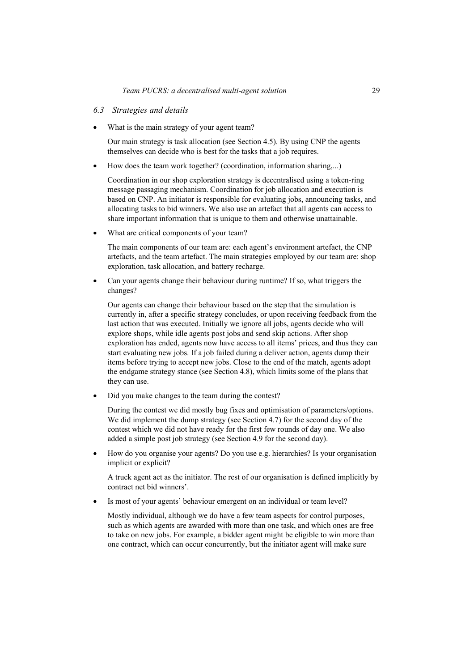- *6.3 Strategies and details*
- What is the main strategy of your agent team?

 Our main strategy is task allocation (see Section 4.5). By using CNP the agents themselves can decide who is best for the tasks that a job requires.

• How does the team work together? (coordination, information sharing,...)

 Coordination in our shop exploration strategy is decentralised using a token-ring message passaging mechanism. Coordination for job allocation and execution is based on CNP. An initiator is responsible for evaluating jobs, announcing tasks, and allocating tasks to bid winners. We also use an artefact that all agents can access to share important information that is unique to them and otherwise unattainable.

What are critical components of your team?

 The main components of our team are: each agent's environment artefact, the CNP artefacts, and the team artefact. The main strategies employed by our team are: shop exploration, task allocation, and battery recharge.

• Can your agents change their behaviour during runtime? If so, what triggers the changes?

 Our agents can change their behaviour based on the step that the simulation is currently in, after a specific strategy concludes, or upon receiving feedback from the last action that was executed. Initially we ignore all jobs, agents decide who will explore shops, while idle agents post jobs and send skip actions. After shop exploration has ended, agents now have access to all items' prices, and thus they can start evaluating new jobs. If a job failed during a deliver action, agents dump their items before trying to accept new jobs. Close to the end of the match, agents adopt the endgame strategy stance (see Section 4.8), which limits some of the plans that they can use.

• Did you make changes to the team during the contest?

 During the contest we did mostly bug fixes and optimisation of parameters/options. We did implement the dump strategy (see Section 4.7) for the second day of the contest which we did not have ready for the first few rounds of day one. We also added a simple post job strategy (see Section 4.9 for the second day).

• How do you organise your agents? Do you use e.g. hierarchies? Is your organisation implicit or explicit?

 A truck agent act as the initiator. The rest of our organisation is defined implicitly by contract net bid winners'.

Is most of your agents' behaviour emergent on an individual or team level?

 Mostly individual, although we do have a few team aspects for control purposes, such as which agents are awarded with more than one task, and which ones are free to take on new jobs. For example, a bidder agent might be eligible to win more than one contract, which can occur concurrently, but the initiator agent will make sure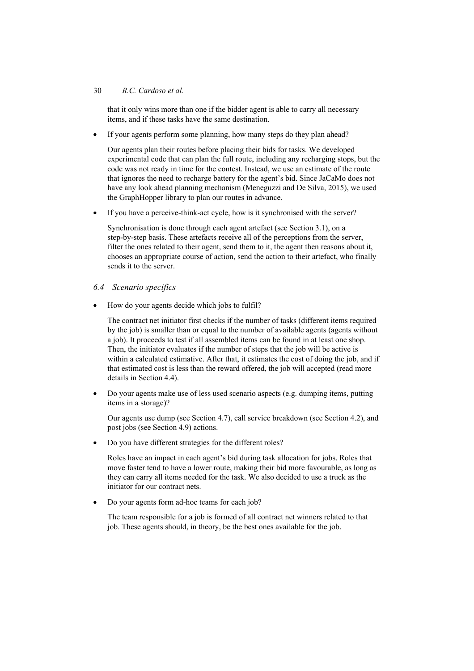that it only wins more than one if the bidder agent is able to carry all necessary items, and if these tasks have the same destination.

If your agents perform some planning, how many steps do they plan ahead?

 Our agents plan their routes before placing their bids for tasks. We developed experimental code that can plan the full route, including any recharging stops, but the code was not ready in time for the contest. Instead, we use an estimate of the route that ignores the need to recharge battery for the agent's bid. Since JaCaMo does not have any look ahead planning mechanism (Meneguzzi and De Silva, 2015), we used the GraphHopper library to plan our routes in advance.

If you have a perceive-think-act cycle, how is it synchronised with the server?

 Synchronisation is done through each agent artefact (see Section 3.1), on a step-by-step basis. These artefacts receive all of the perceptions from the server, filter the ones related to their agent, send them to it, the agent then reasons about it, chooses an appropriate course of action, send the action to their artefact, who finally sends it to the server.

- *6.4 Scenario specifics*
- How do your agents decide which jobs to fulfil?

 The contract net initiator first checks if the number of tasks (different items required by the job) is smaller than or equal to the number of available agents (agents without a job). It proceeds to test if all assembled items can be found in at least one shop. Then, the initiator evaluates if the number of steps that the job will be active is within a calculated estimative. After that, it estimates the cost of doing the job, and if that estimated cost is less than the reward offered, the job will accepted (read more details in Section 4.4).

• Do your agents make use of less used scenario aspects (e.g. dumping items, putting items in a storage)?

 Our agents use dump (see Section 4.7), call service breakdown (see Section 4.2), and post jobs (see Section 4.9) actions.

• Do you have different strategies for the different roles?

 Roles have an impact in each agent's bid during task allocation for jobs. Roles that move faster tend to have a lower route, making their bid more favourable, as long as they can carry all items needed for the task. We also decided to use a truck as the initiator for our contract nets.

• Do your agents form ad-hoc teams for each job?

 The team responsible for a job is formed of all contract net winners related to that job. These agents should, in theory, be the best ones available for the job.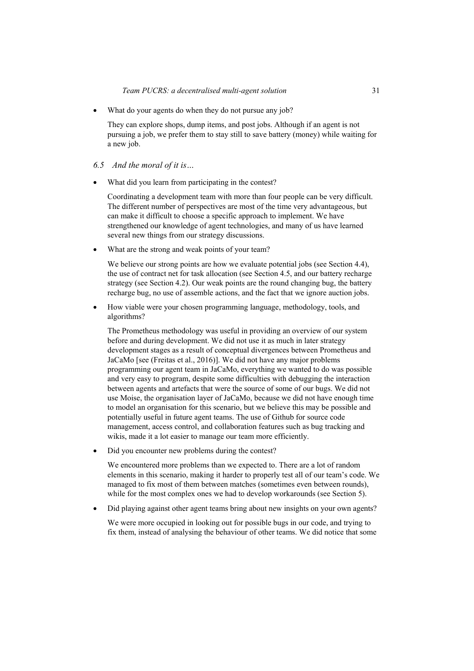What do your agents do when they do not pursue any job?

 They can explore shops, dump items, and post jobs. Although if an agent is not pursuing a job, we prefer them to stay still to save battery (money) while waiting for a new job.

*6.5 And the moral of it is…* 

What did you learn from participating in the contest?

 Coordinating a development team with more than four people can be very difficult. The different number of perspectives are most of the time very advantageous, but can make it difficult to choose a specific approach to implement. We have strengthened our knowledge of agent technologies, and many of us have learned several new things from our strategy discussions.

What are the strong and weak points of your team?

We believe our strong points are how we evaluate potential jobs (see Section 4.4), the use of contract net for task allocation (see Section 4.5, and our battery recharge strategy (see Section 4.2). Our weak points are the round changing bug, the battery recharge bug, no use of assemble actions, and the fact that we ignore auction jobs.

• How viable were your chosen programming language, methodology, tools, and algorithms?

 The Prometheus methodology was useful in providing an overview of our system before and during development. We did not use it as much in later strategy development stages as a result of conceptual divergences between Prometheus and JaCaMo [see (Freitas et al., 2016)]. We did not have any major problems programming our agent team in JaCaMo, everything we wanted to do was possible and very easy to program, despite some difficulties with debugging the interaction between agents and artefacts that were the source of some of our bugs. We did not use Moise, the organisation layer of JaCaMo, because we did not have enough time to model an organisation for this scenario, but we believe this may be possible and potentially useful in future agent teams. The use of Github for source code management, access control, and collaboration features such as bug tracking and wikis, made it a lot easier to manage our team more efficiently.

Did you encounter new problems during the contest?

 We encountered more problems than we expected to. There are a lot of random elements in this scenario, making it harder to properly test all of our team's code. We managed to fix most of them between matches (sometimes even between rounds), while for the most complex ones we had to develop workarounds (see Section 5).

• Did playing against other agent teams bring about new insights on your own agents?

 We were more occupied in looking out for possible bugs in our code, and trying to fix them, instead of analysing the behaviour of other teams. We did notice that some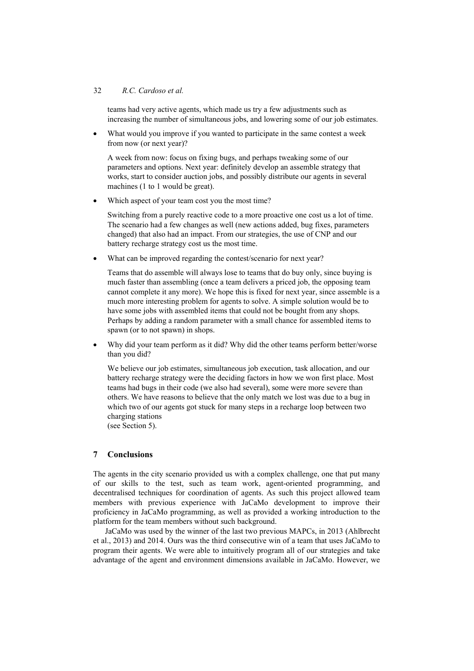teams had very active agents, which made us try a few adjustments such as increasing the number of simultaneous jobs, and lowering some of our job estimates.

What would you improve if you wanted to participate in the same contest a week from now (or next year)?

 A week from now: focus on fixing bugs, and perhaps tweaking some of our parameters and options. Next year: definitely develop an assemble strategy that works, start to consider auction jobs, and possibly distribute our agents in several machines (1 to 1 would be great).

Which aspect of your team cost you the most time?

 Switching from a purely reactive code to a more proactive one cost us a lot of time. The scenario had a few changes as well (new actions added, bug fixes, parameters changed) that also had an impact. From our strategies, the use of CNP and our battery recharge strategy cost us the most time.

What can be improved regarding the contest/scenario for next year?

 Teams that do assemble will always lose to teams that do buy only, since buying is much faster than assembling (once a team delivers a priced job, the opposing team cannot complete it any more). We hope this is fixed for next year, since assemble is a much more interesting problem for agents to solve. A simple solution would be to have some jobs with assembled items that could not be bought from any shops. Perhaps by adding a random parameter with a small chance for assembled items to spawn (or to not spawn) in shops.

• Why did your team perform as it did? Why did the other teams perform better/worse than you did?

 We believe our job estimates, simultaneous job execution, task allocation, and our battery recharge strategy were the deciding factors in how we won first place. Most teams had bugs in their code (we also had several), some were more severe than others. We have reasons to believe that the only match we lost was due to a bug in which two of our agents got stuck for many steps in a recharge loop between two charging stations (see Section 5).

# **7 Conclusions**

The agents in the city scenario provided us with a complex challenge, one that put many of our skills to the test, such as team work, agent-oriented programming, and decentralised techniques for coordination of agents. As such this project allowed team members with previous experience with JaCaMo development to improve their proficiency in JaCaMo programming, as well as provided a working introduction to the platform for the team members without such background.

JaCaMo was used by the winner of the last two previous MAPCs, in 2013 (Ahlbrecht et al., 2013) and 2014. Ours was the third consecutive win of a team that uses JaCaMo to program their agents. We were able to intuitively program all of our strategies and take advantage of the agent and environment dimensions available in JaCaMo. However, we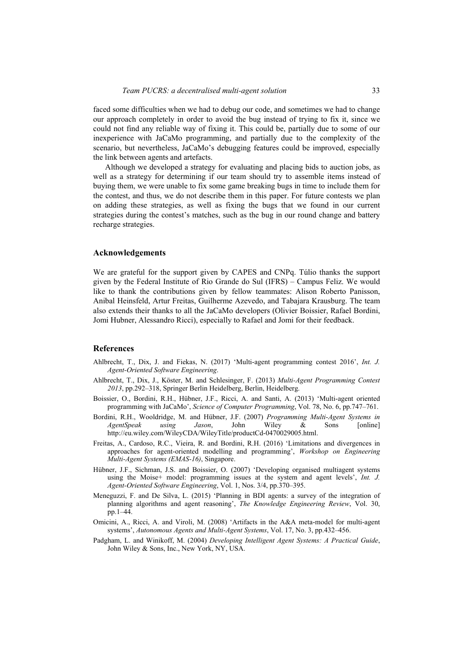faced some difficulties when we had to debug our code, and sometimes we had to change our approach completely in order to avoid the bug instead of trying to fix it, since we could not find any reliable way of fixing it. This could be, partially due to some of our inexperience with JaCaMo programming, and partially due to the complexity of the scenario, but nevertheless, JaCaMo's debugging features could be improved, especially the link between agents and artefacts.

Although we developed a strategy for evaluating and placing bids to auction jobs, as well as a strategy for determining if our team should try to assemble items instead of buying them, we were unable to fix some game breaking bugs in time to include them for the contest, and thus, we do not describe them in this paper. For future contests we plan on adding these strategies, as well as fixing the bugs that we found in our current strategies during the contest's matches, such as the bug in our round change and battery recharge strategies.

#### **Acknowledgements**

We are grateful for the support given by CAPES and CNPq. Túlio thanks the support given by the Federal Institute of Rio Grande do Sul (IFRS) – Campus Feliz. We would like to thank the contributions given by fellow teammates: Alison Roberto Panisson, Anibal Heinsfeld, Artur Freitas, Guilherme Azevedo, and Tabajara Krausburg. The team also extends their thanks to all the JaCaMo developers (Olivier Boissier, Rafael Bordini, Jomi Hubner, Alessandro Ricci), especially to Rafael and Jomi for their feedback.

#### **References**

- Ahlbrecht, T., Dix, J. and Fiekas, N. (2017) 'Multi-agent programming contest 2016', *Int. J. Agent-Oriented Software Engineering*.
- Ahlbrecht, T., Dix, J., Köster, M. and Schlesinger, F. (2013) *Multi-Agent Programming Contest 2013*, pp.292–318, Springer Berlin Heidelberg, Berlin, Heidelberg.
- Boissier, O., Bordini, R.H., Hübner, J.F., Ricci, A. and Santi, A. (2013) 'Multi-agent oriented programming with JaCaMo', *Science of Computer Programming*, Vol. 78, No. 6, pp.747–761.
- Bordini, R.H., Wooldridge, M. and Hübner, J.F. (2007) *Programming Multi-Agent Systems in AgentSpeak using Jason*, John Wiley & Sons [online] http://eu.wiley.com/WileyCDA/WileyTitle/productCd-0470029005.html.
- Freitas, A., Cardoso, R.C., Vieira, R. and Bordini, R.H. (2016) 'Limitations and divergences in approaches for agent-oriented modelling and programming', *Workshop on Engineering Multi-Agent Systems (EMAS-16)*, Singapore.
- Hübner, J.F., Sichman, J.S. and Boissier, O. (2007) 'Developing organised multiagent systems using the Moise+ model: programming issues at the system and agent levels', *Int. J. Agent-Oriented Software Engineering*, Vol. 1, Nos. 3/4, pp.370–395.
- Meneguzzi, F. and De Silva, L. (2015) 'Planning in BDI agents: a survey of the integration of planning algorithms and agent reasoning', *The Knowledge Engineering Review*, Vol. 30, pp.1–44.
- Omicini, A., Ricci, A. and Viroli, M. (2008) 'Artifacts in the A&A meta-model for multi-agent systems', *Autonomous Agents and Multi-Agent Systems*, Vol. 17, No. 3, pp.432–456.
- Padgham, L. and Winikoff, M. (2004) *Developing Intelligent Agent Systems: A Practical Guide*, John Wiley & Sons, Inc., New York, NY, USA.